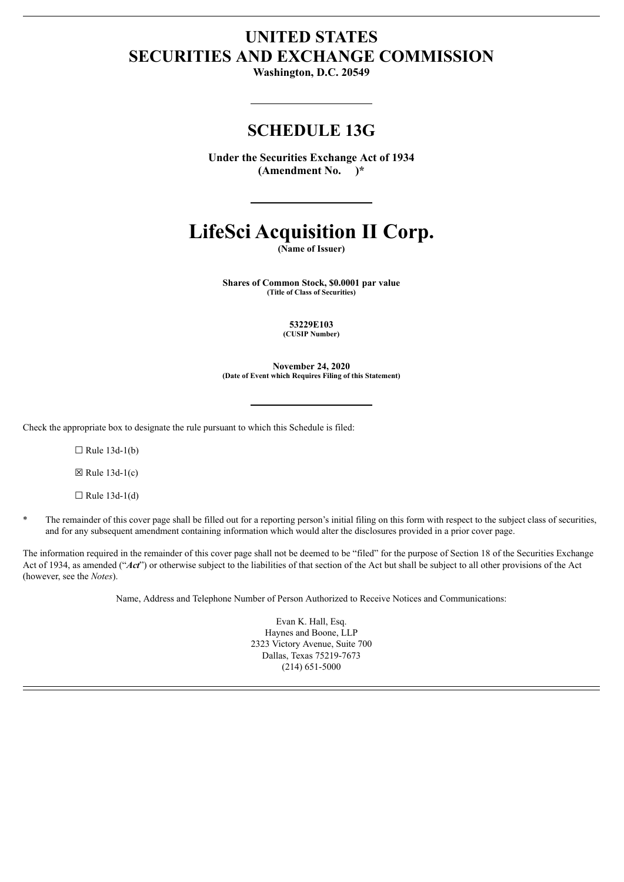# **UNITED STATES SECURITIES AND EXCHANGE COMMISSION**

**Washington, D.C. 20549**

# **SCHEDULE 13G**

**Under the Securities Exchange Act of 1934 (Amendment No. )\***

# **LifeSci Acquisition II Corp.**

**(Name of Issuer)**

**Shares of Common Stock, \$0.0001 par value (Title of Class of Securities)**

**53229E103**

**(CUSIP Number)**

**November 24, 2020 (Date of Event which Requires Filing of this Statement)**

Check the appropriate box to designate the rule pursuant to which this Schedule is filed:

 $\Box$  Rule 13d-1(b)

 $\boxtimes$  Rule 13d-1(c)

 $\Box$  Rule 13d-1(d)

\* The remainder of this cover page shall be filled out for a reporting person's initial filing on this form with respect to the subject class of securities, and for any subsequent amendment containing information which would alter the disclosures provided in a prior cover page.

The information required in the remainder of this cover page shall not be deemed to be "filed" for the purpose of Section 18 of the Securities Exchange Act of 1934, as amended ("*Act*") or otherwise subject to the liabilities of that section of the Act but shall be subject to all other provisions of the Act (however, see the *Notes*).

Name, Address and Telephone Number of Person Authorized to Receive Notices and Communications:

Evan K. Hall, Esq. Haynes and Boone, LLP 2323 Victory Avenue, Suite 700 Dallas, Texas 75219-7673 (214) 651-5000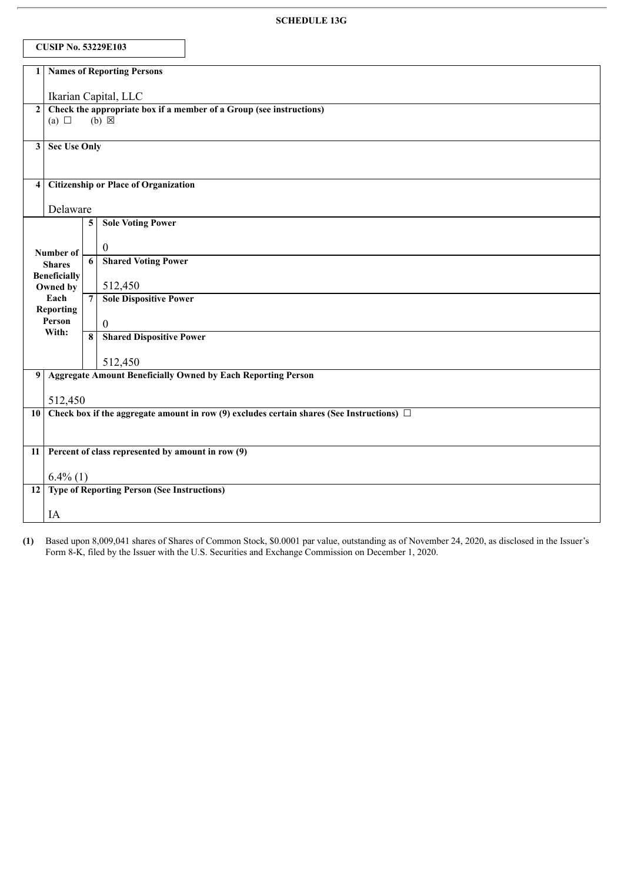|                                                        | <b>CUSIP No. 53229E103</b>           |                                                                                          |                                                                                                   |  |  |
|--------------------------------------------------------|--------------------------------------|------------------------------------------------------------------------------------------|---------------------------------------------------------------------------------------------------|--|--|
| 1                                                      | <b>Names of Reporting Persons</b>    |                                                                                          |                                                                                                   |  |  |
| Ikarian Capital, LLC                                   |                                      |                                                                                          |                                                                                                   |  |  |
|                                                        | (a) $\Box$                           | 2 Check the appropriate box if a member of a Group (see instructions)<br>$(b) \boxtimes$ |                                                                                                   |  |  |
|                                                        |                                      |                                                                                          |                                                                                                   |  |  |
| 3 <sup>1</sup>                                         |                                      | <b>Sec Use Only</b>                                                                      |                                                                                                   |  |  |
|                                                        |                                      |                                                                                          |                                                                                                   |  |  |
| <b>Citizenship or Place of Organization</b><br>$\vert$ |                                      |                                                                                          |                                                                                                   |  |  |
|                                                        |                                      | Delaware                                                                                 |                                                                                                   |  |  |
|                                                        |                                      | 5                                                                                        | <b>Sole Voting Power</b>                                                                          |  |  |
|                                                        | Number of                            |                                                                                          | $\mathbf{0}$                                                                                      |  |  |
|                                                        | <b>Shares</b><br><b>Beneficially</b> | 6                                                                                        | <b>Shared Voting Power</b>                                                                        |  |  |
|                                                        | Owned by                             |                                                                                          | 512,450                                                                                           |  |  |
|                                                        | Each<br><b>Reporting</b>             | $\overline{7}$                                                                           | <b>Sole Dispositive Power</b>                                                                     |  |  |
|                                                        | Person<br>With:                      | 8                                                                                        | $\boldsymbol{0}$                                                                                  |  |  |
|                                                        |                                      |                                                                                          | <b>Shared Dispositive Power</b>                                                                   |  |  |
|                                                        |                                      |                                                                                          | 512,450                                                                                           |  |  |
|                                                        |                                      |                                                                                          | 9 Aggregate Amount Beneficially Owned by Each Reporting Person                                    |  |  |
|                                                        | 512,450                              |                                                                                          |                                                                                                   |  |  |
|                                                        |                                      |                                                                                          | 10 Check box if the aggregate amount in row (9) excludes certain shares (See Instructions) $\Box$ |  |  |
|                                                        |                                      |                                                                                          |                                                                                                   |  |  |
| 11 <sup>1</sup>                                        |                                      |                                                                                          | Percent of class represented by amount in row (9)                                                 |  |  |
|                                                        | $6.4\%$ (1)                          |                                                                                          |                                                                                                   |  |  |
|                                                        |                                      |                                                                                          | 12 Type of Reporting Person (See Instructions)                                                    |  |  |
|                                                        | IA                                   |                                                                                          |                                                                                                   |  |  |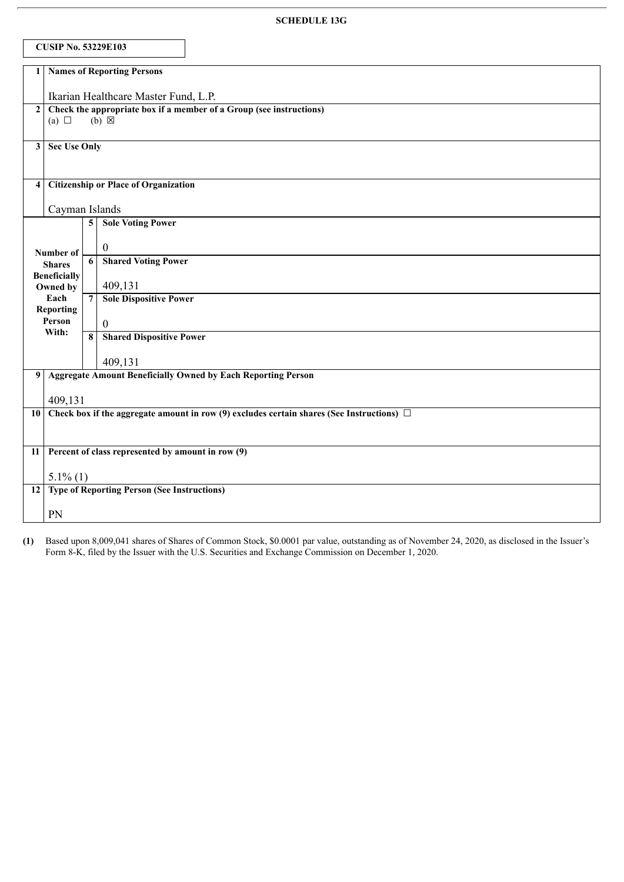|                                                                                       | <b>CUSIP No. 53229E103</b>                                                                     |                         |                                                   |  |  |
|---------------------------------------------------------------------------------------|------------------------------------------------------------------------------------------------|-------------------------|---------------------------------------------------|--|--|
|                                                                                       | 1 Names of Reporting Persons                                                                   |                         |                                                   |  |  |
| Ikarian Healthcare Master Fund, L.P.                                                  |                                                                                                |                         |                                                   |  |  |
| Check the appropriate box if a member of a Group (see instructions)<br>2 <sup>1</sup> |                                                                                                |                         |                                                   |  |  |
| (a) $\Box$<br>$(b) \boxtimes$                                                         |                                                                                                |                         |                                                   |  |  |
| 3                                                                                     | <b>Sec Use Only</b>                                                                            |                         |                                                   |  |  |
|                                                                                       |                                                                                                |                         |                                                   |  |  |
| <b>Citizenship or Place of Organization</b><br>4                                      |                                                                                                |                         |                                                   |  |  |
|                                                                                       |                                                                                                | Cayman Islands          |                                                   |  |  |
|                                                                                       |                                                                                                |                         | <b>5</b> Sole Voting Power                        |  |  |
|                                                                                       | Number of                                                                                      |                         | $\overline{0}$                                    |  |  |
|                                                                                       | <b>Shares</b>                                                                                  | $\overline{6}$          | <b>Shared Voting Power</b>                        |  |  |
|                                                                                       | <b>Beneficially</b><br>Owned by                                                                |                         | 409,131                                           |  |  |
|                                                                                       | Each                                                                                           | $7\phantom{.0}$         | <b>Sole Dispositive Power</b>                     |  |  |
|                                                                                       | <b>Reporting</b><br>Person                                                                     |                         | $\mathbf{0}$                                      |  |  |
|                                                                                       | With:                                                                                          | $\overline{\mathbf{8}}$ | <b>Shared Dispositive Power</b>                   |  |  |
|                                                                                       |                                                                                                |                         | 409,131                                           |  |  |
|                                                                                       | <b>Aggregate Amount Beneficially Owned by Each Reporting Person</b><br>9 <sup>1</sup>          |                         |                                                   |  |  |
|                                                                                       | 409,131                                                                                        |                         |                                                   |  |  |
| 10 <sup>1</sup>                                                                       | Check box if the aggregate amount in row (9) excludes certain shares (See Instructions) $\Box$ |                         |                                                   |  |  |
|                                                                                       |                                                                                                |                         |                                                   |  |  |
| 11                                                                                    |                                                                                                |                         | Percent of class represented by amount in row (9) |  |  |
|                                                                                       | $5.1\%$ (1)                                                                                    |                         |                                                   |  |  |
| 12 Type of Reporting Person (See Instructions)                                        |                                                                                                |                         |                                                   |  |  |
|                                                                                       | PN                                                                                             |                         |                                                   |  |  |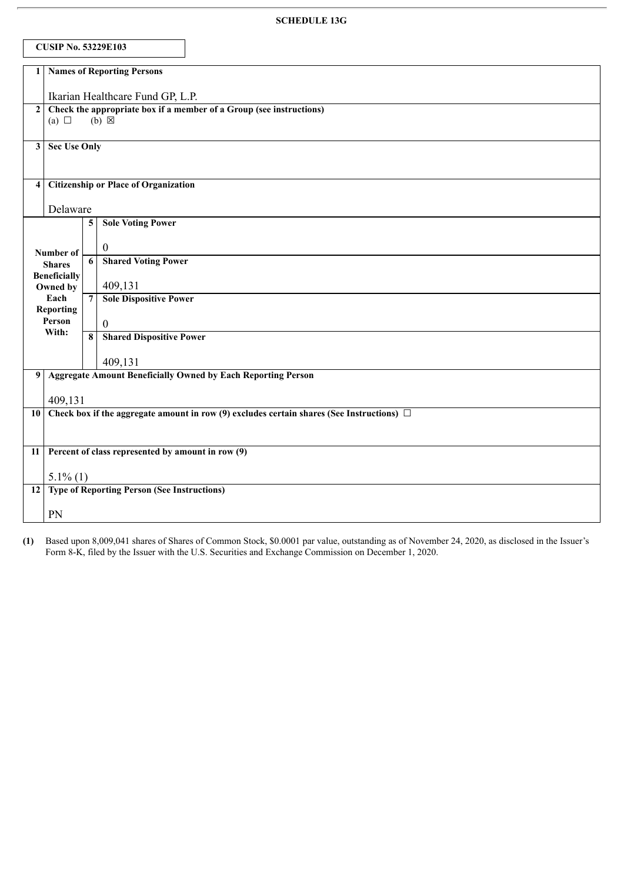|                                                | <b>CUSIP No. 53229E103</b>                                                                             |                         |                                                                     |  |  |
|------------------------------------------------|--------------------------------------------------------------------------------------------------------|-------------------------|---------------------------------------------------------------------|--|--|
|                                                | <b>Names of Reporting Persons</b><br>1 <sup>1</sup>                                                    |                         |                                                                     |  |  |
| Ikarian Healthcare Fund GP, L.P.               |                                                                                                        |                         |                                                                     |  |  |
|                                                | 2 Check the appropriate box if a member of a Group (see instructions)<br>(a) $\Box$<br>$(b) \boxtimes$ |                         |                                                                     |  |  |
| 3 <sup>1</sup>                                 | <b>Sec Use Only</b>                                                                                    |                         |                                                                     |  |  |
| $\vert$                                        |                                                                                                        |                         | <b>Citizenship or Place of Organization</b>                         |  |  |
|                                                | Delaware                                                                                               |                         |                                                                     |  |  |
|                                                |                                                                                                        | $\overline{\mathbf{5}}$ | <b>Sole Voting Power</b>                                            |  |  |
|                                                | Number of                                                                                              |                         | $\boldsymbol{0}$                                                    |  |  |
|                                                | <b>Shares</b>                                                                                          | 6                       | <b>Shared Voting Power</b>                                          |  |  |
|                                                | <b>Beneficially</b><br>Owned by                                                                        |                         | 409,131                                                             |  |  |
|                                                | Each                                                                                                   | $7\phantom{.0}$         | <b>Sole Dispositive Power</b>                                       |  |  |
|                                                | <b>Reporting</b><br>Person                                                                             |                         | $\mathbf{0}$                                                        |  |  |
|                                                | With:                                                                                                  | $\overline{\mathbf{8}}$ | <b>Shared Dispositive Power</b>                                     |  |  |
|                                                |                                                                                                        |                         | 409,131                                                             |  |  |
| 9 <sub>1</sub>                                 |                                                                                                        |                         | <b>Aggregate Amount Beneficially Owned by Each Reporting Person</b> |  |  |
|                                                | 409,131                                                                                                |                         |                                                                     |  |  |
|                                                | 10 Check box if the aggregate amount in row (9) excludes certain shares (See Instructions) $\Box$      |                         |                                                                     |  |  |
| 11                                             | Percent of class represented by amount in row (9)                                                      |                         |                                                                     |  |  |
|                                                |                                                                                                        | $5.1\%$ (1)             |                                                                     |  |  |
| 12 Type of Reporting Person (See Instructions) |                                                                                                        |                         |                                                                     |  |  |
|                                                | PN                                                                                                     |                         |                                                                     |  |  |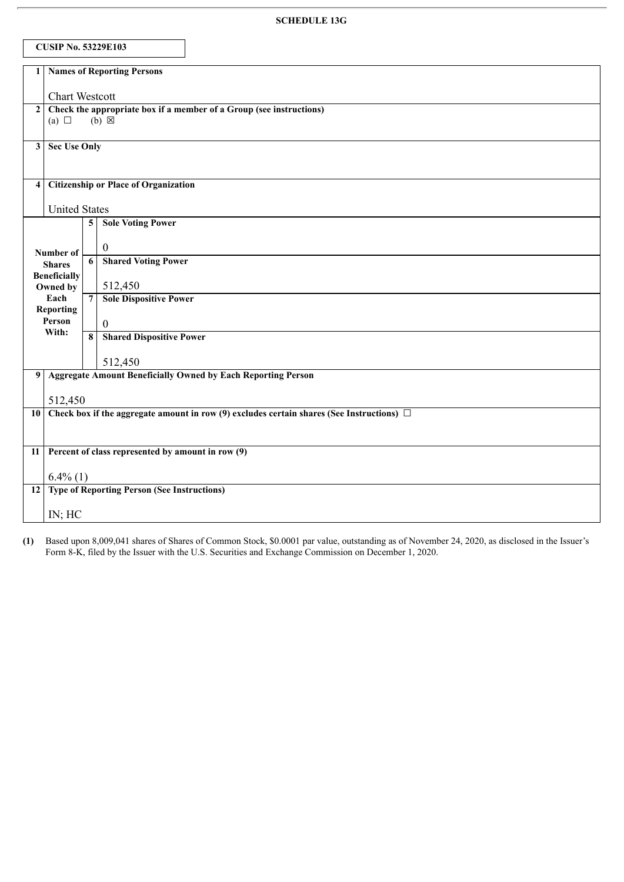|                      | <b>CUSIP No. 53229E103</b>                                                                              |                         |                                                                                                   |  |
|----------------------|---------------------------------------------------------------------------------------------------------|-------------------------|---------------------------------------------------------------------------------------------------|--|
| 1                    | <b>Names of Reporting Persons</b>                                                                       |                         |                                                                                                   |  |
|                      | <b>Chart Westcott</b>                                                                                   |                         |                                                                                                   |  |
|                      | Check the appropriate box if a member of a Group (see instructions)<br>2 <br>$(b) \times$<br>(a) $\Box$ |                         |                                                                                                   |  |
| 3 <sup>1</sup>       | <b>Sec Use Only</b>                                                                                     |                         |                                                                                                   |  |
| $\overline{4}$       | <b>Citizenship or Place of Organization</b>                                                             |                         |                                                                                                   |  |
| <b>United States</b> |                                                                                                         |                         |                                                                                                   |  |
|                      |                                                                                                         | $\overline{\mathbf{5}}$ | <b>Sole Voting Power</b>                                                                          |  |
|                      | Number of                                                                                               |                         | $\overline{0}$                                                                                    |  |
|                      | <b>Shares</b><br><b>Beneficially</b>                                                                    | 6                       | <b>Shared Voting Power</b>                                                                        |  |
|                      | Owned by                                                                                                |                         | 512,450                                                                                           |  |
|                      | Each<br><b>Reporting</b>                                                                                | $\overline{7}$          | <b>Sole Dispositive Power</b>                                                                     |  |
|                      | Person<br>With:                                                                                         |                         | $\overline{0}$                                                                                    |  |
|                      |                                                                                                         | $\overline{\mathbf{8}}$ | <b>Shared Dispositive Power</b>                                                                   |  |
|                      |                                                                                                         |                         | 512,450                                                                                           |  |
| 9                    |                                                                                                         |                         | <b>Aggregate Amount Beneficially Owned by Each Reporting Person</b>                               |  |
|                      | 512,450                                                                                                 |                         |                                                                                                   |  |
|                      |                                                                                                         |                         | 10 Check box if the aggregate amount in row (9) excludes certain shares (See Instructions) $\Box$ |  |
|                      |                                                                                                         |                         | 11 Percent of class represented by amount in row (9)                                              |  |
|                      | $6.4\%$ (1)                                                                                             |                         |                                                                                                   |  |
|                      | 12 Type of Reporting Person (See Instructions)                                                          |                         |                                                                                                   |  |
|                      | IN; HC                                                                                                  |                         |                                                                                                   |  |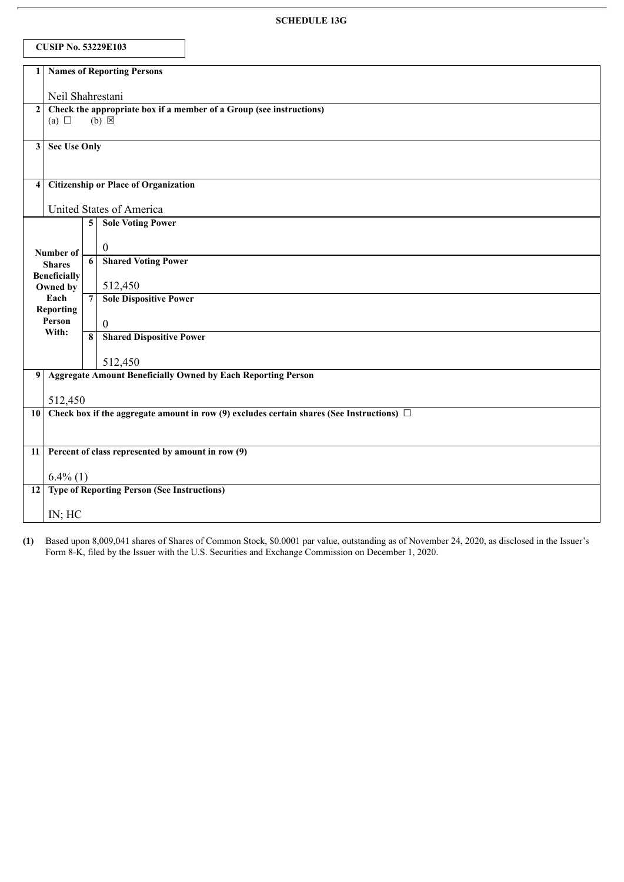| <b>CUSIP No. 53229E103</b>                             |                                                                                                                     |                          |                                                                                                   |  |  |
|--------------------------------------------------------|---------------------------------------------------------------------------------------------------------------------|--------------------------|---------------------------------------------------------------------------------------------------|--|--|
| 1                                                      | <b>Names of Reporting Persons</b>                                                                                   |                          |                                                                                                   |  |  |
| Neil Shahrestani                                       |                                                                                                                     |                          |                                                                                                   |  |  |
|                                                        | Check the appropriate box if a member of a Group (see instructions)<br>2 <sup>1</sup><br>$(b) \times$<br>(a) $\Box$ |                          |                                                                                                   |  |  |
| 3 <sup>1</sup>                                         | Sec Use Only                                                                                                        |                          |                                                                                                   |  |  |
| <b>Citizenship or Place of Organization</b><br>$\vert$ |                                                                                                                     |                          |                                                                                                   |  |  |
|                                                        |                                                                                                                     | United States of America |                                                                                                   |  |  |
|                                                        |                                                                                                                     | $\overline{\mathbf{5}}$  | <b>Sole Voting Power</b>                                                                          |  |  |
|                                                        | Number of                                                                                                           |                          | $\boldsymbol{0}$                                                                                  |  |  |
|                                                        | <b>Shares</b><br><b>Beneficially</b>                                                                                | 6                        | <b>Shared Voting Power</b>                                                                        |  |  |
|                                                        | Owned by                                                                                                            |                          | 512,450                                                                                           |  |  |
|                                                        | Each<br><b>Reporting</b>                                                                                            | $\overline{7}$           | <b>Sole Dispositive Power</b>                                                                     |  |  |
|                                                        | Person<br>With:                                                                                                     | $\overline{\mathbf{8}}$  | $\overline{0}$                                                                                    |  |  |
|                                                        |                                                                                                                     |                          | <b>Shared Dispositive Power</b>                                                                   |  |  |
|                                                        |                                                                                                                     |                          | 512,450                                                                                           |  |  |
| 9 <sup>1</sup>                                         |                                                                                                                     |                          | <b>Aggregate Amount Beneficially Owned by Each Reporting Person</b>                               |  |  |
|                                                        | 512,450                                                                                                             |                          |                                                                                                   |  |  |
|                                                        |                                                                                                                     |                          | 10 Check box if the aggregate amount in row (9) excludes certain shares (See Instructions) $\Box$ |  |  |
| 11                                                     |                                                                                                                     |                          | Percent of class represented by amount in row (9)                                                 |  |  |
|                                                        | $6.4\%$ (1)                                                                                                         |                          |                                                                                                   |  |  |
|                                                        | 12 Type of Reporting Person (See Instructions)                                                                      |                          |                                                                                                   |  |  |
|                                                        | IN; HC                                                                                                              |                          |                                                                                                   |  |  |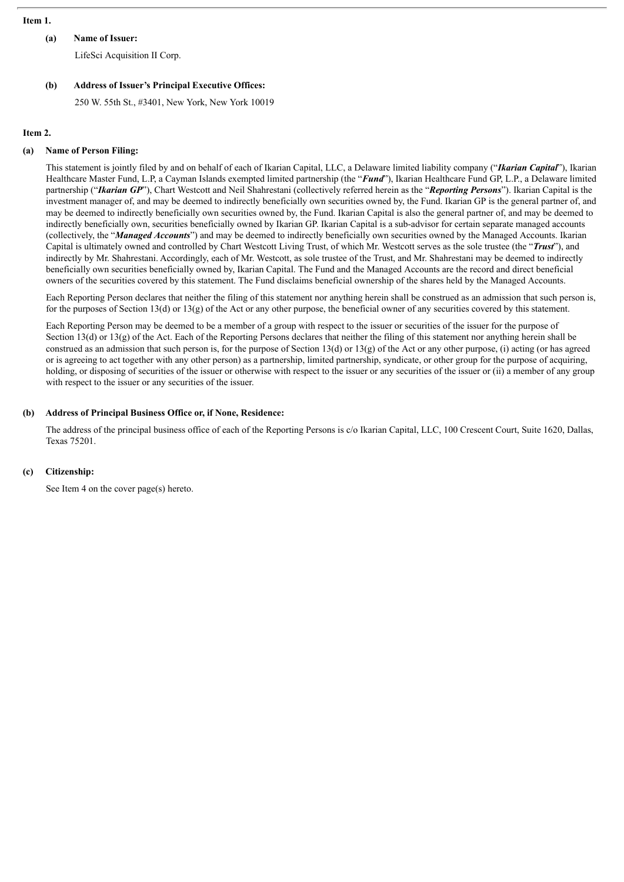#### **Item 1.**

# **(a) Name of Issuer:**

LifeSci Acquisition II Corp.

## **(b) Address of Issuer's Principal Executive Offices:**

250 W. 55th St., #3401, New York, New York 10019

#### **Item 2.**

#### **(a) Name of Person Filing:**

This statement is jointly filed by and on behalf of each of Ikarian Capital, LLC, a Delaware limited liability company ("*Ikarian Capital*"), Ikarian Healthcare Master Fund, L.P, a Cayman Islands exempted limited partnership (the "*Fund*"), Ikarian Healthcare Fund GP, L.P., a Delaware limited partnership ("*Ikarian GP*"), Chart Westcott and Neil Shahrestani (collectively referred herein as the "*Reporting Persons*"). Ikarian Capital is the investment manager of, and may be deemed to indirectly beneficially own securities owned by, the Fund. Ikarian GP is the general partner of, and may be deemed to indirectly beneficially own securities owned by, the Fund. Ikarian Capital is also the general partner of, and may be deemed to indirectly beneficially own, securities beneficially owned by Ikarian GP. Ikarian Capital is a sub-advisor for certain separate managed accounts (collectively, the "*Managed Accounts*") and may be deemed to indirectly beneficially own securities owned by the Managed Accounts. Ikarian Capital is ultimately owned and controlled by Chart Westcott Living Trust, of which Mr. Westcott serves as the sole trustee (the "*Trust*"), and indirectly by Mr. Shahrestani. Accordingly, each of Mr. Westcott, as sole trustee of the Trust, and Mr. Shahrestani may be deemed to indirectly beneficially own securities beneficially owned by, Ikarian Capital. The Fund and the Managed Accounts are the record and direct beneficial owners of the securities covered by this statement. The Fund disclaims beneficial ownership of the shares held by the Managed Accounts.

Each Reporting Person declares that neither the filing of this statement nor anything herein shall be construed as an admission that such person is, for the purposes of Section 13(d) or 13(g) of the Act or any other purpose, the beneficial owner of any securities covered by this statement.

Each Reporting Person may be deemed to be a member of a group with respect to the issuer or securities of the issuer for the purpose of Section 13(d) or 13(g) of the Act. Each of the Reporting Persons declares that neither the filing of this statement nor anything herein shall be construed as an admission that such person is, for the purpose of Section 13(d) or 13(g) of the Act or any other purpose, (i) acting (or has agreed or is agreeing to act together with any other person) as a partnership, limited partnership, syndicate, or other group for the purpose of acquiring, holding, or disposing of securities of the issuer or otherwise with respect to the issuer or any securities of the issuer or (ii) a member of any group with respect to the issuer or any securities of the issuer.

## **(b) Address of Principal Business Office or, if None, Residence:**

The address of the principal business office of each of the Reporting Persons is c/o Ikarian Capital, LLC, 100 Crescent Court, Suite 1620, Dallas, Texas 75201.

#### **(c) Citizenship:**

See Item 4 on the cover page(s) hereto.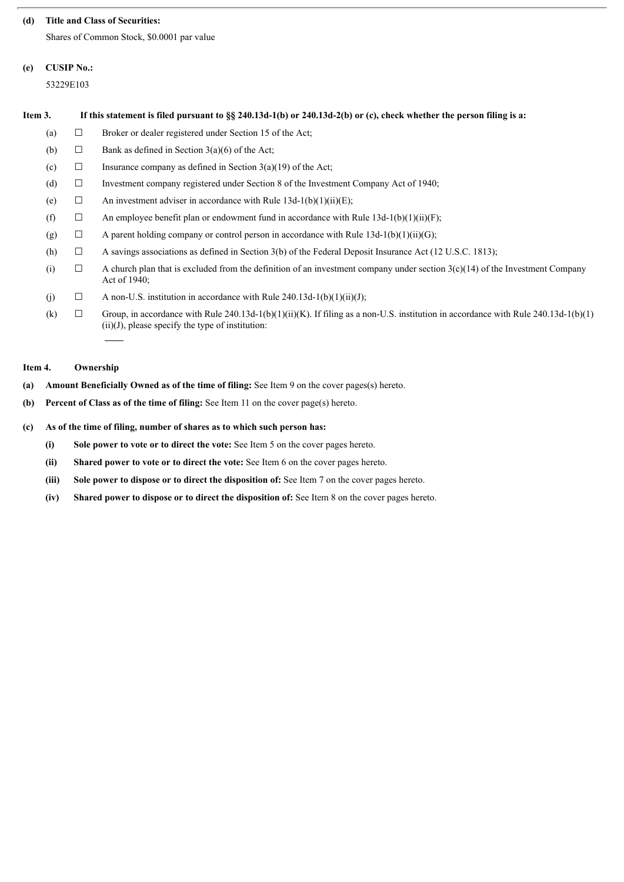#### **(d) Title and Class of Securities:**

Shares of Common Stock, \$0.0001 par value

# **(e) CUSIP No.:**

53229E103

| Item 3. | If this statement is filed pursuant to §§ 240.13d-1(b) or 240.13d-2(b) or (c), check whether the person filing is a: |                                                                                                                                                                                           |  |  |
|---------|----------------------------------------------------------------------------------------------------------------------|-------------------------------------------------------------------------------------------------------------------------------------------------------------------------------------------|--|--|
| (a)     | ப                                                                                                                    | Broker or dealer registered under Section 15 of the Act;                                                                                                                                  |  |  |
| (b)     | $\Box$                                                                                                               | Bank as defined in Section $3(a)(6)$ of the Act;                                                                                                                                          |  |  |
| (c)     | □                                                                                                                    | Insurance company as defined in Section $3(a)(19)$ of the Act;                                                                                                                            |  |  |
| (d)     | □                                                                                                                    | Investment company registered under Section 8 of the Investment Company Act of 1940;                                                                                                      |  |  |
| (e)     | □                                                                                                                    | An investment adviser in accordance with Rule $13d-1(b)(1)(ii)(E)$ ;                                                                                                                      |  |  |
| (f)     | □                                                                                                                    | An employee benefit plan or endowment fund in accordance with Rule $13d-1(b)(1)(ii)(F)$ ;                                                                                                 |  |  |
| (g)     | $\Box$                                                                                                               | A parent holding company or control person in accordance with Rule $13d-1(b)(1)(ii)(G)$ ;                                                                                                 |  |  |
| (h)     | $\Box$                                                                                                               | A savings associations as defined in Section 3(b) of the Federal Deposit Insurance Act (12 U.S.C. 1813);                                                                                  |  |  |
| (i)     | ⊔                                                                                                                    | A church plan that is excluded from the definition of an investment company under section $3(c)(14)$ of the Investment Company<br>Act of 1940;                                            |  |  |
| (j)     | □                                                                                                                    | A non-U.S. institution in accordance with Rule $240.13d-1(b)(1)(ii)(J)$ ;                                                                                                                 |  |  |
| (k)     | □                                                                                                                    | Group, in accordance with Rule 240.13d-1(b)(1)(ii)(K). If filing as a non-U.S. institution in accordance with Rule 240.13d-1(b)(1)<br>$(ii)(J)$ , please specify the type of institution: |  |  |

# **Item 4. Ownership**

- **(a) Amount Beneficially Owned as of the time of filing:** See Item 9 on the cover pages(s) hereto.
- **(b) Percent of Class as of the time of filing:** See Item 11 on the cover page(s) hereto.

# **(c) As of the time of filing, number of shares as to which such person has:**

- **(i) Sole power to vote or to direct the vote:** See Item 5 on the cover pages hereto.
- **(ii) Shared power to vote or to direct the vote:** See Item 6 on the cover pages hereto.
- **(iii) Sole power to dispose or to direct the disposition of:** See Item 7 on the cover pages hereto.
- **(iv) Shared power to dispose or to direct the disposition of:** See Item 8 on the cover pages hereto.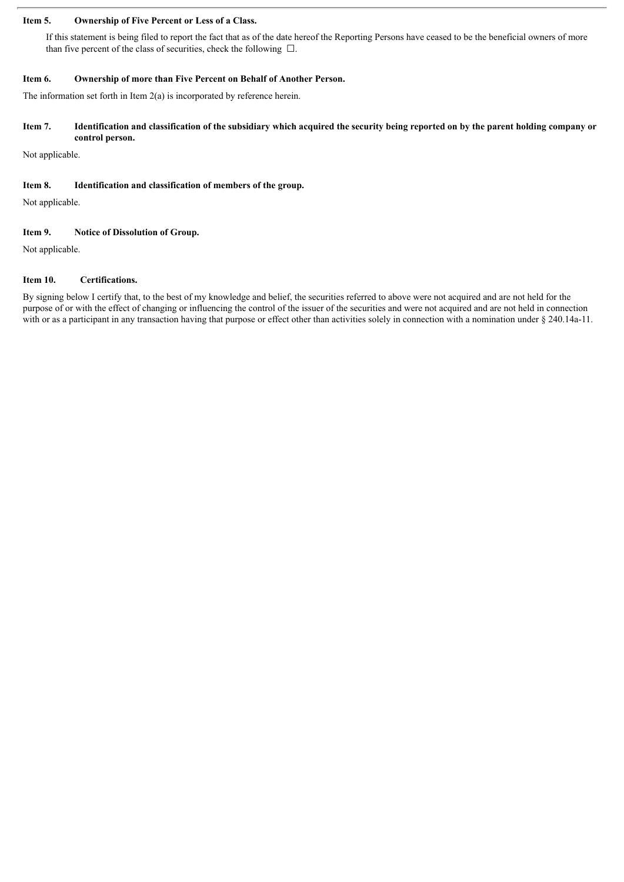#### **Item 5. Ownership of Five Percent or Less of a Class.**

If this statement is being filed to report the fact that as of the date hereof the Reporting Persons have ceased to be the beneficial owners of more than five percent of the class of securities, check the following  $\Box$ .

#### **Item 6. Ownership of more than Five Percent on Behalf of Another Person.**

The information set forth in Item 2(a) is incorporated by reference herein.

#### Item 7. Identification and classification of the subsidiary which acquired the security being reported on by the parent holding company or **control person.**

Not applicable.

#### **Item 8. Identification and classification of members of the group.**

Not applicable.

#### **Item 9. Notice of Dissolution of Group.**

Not applicable.

#### **Item 10. Certifications.**

By signing below I certify that, to the best of my knowledge and belief, the securities referred to above were not acquired and are not held for the purpose of or with the effect of changing or influencing the control of the issuer of the securities and were not acquired and are not held in connection with or as a participant in any transaction having that purpose or effect other than activities solely in connection with a nomination under § 240.14a-11.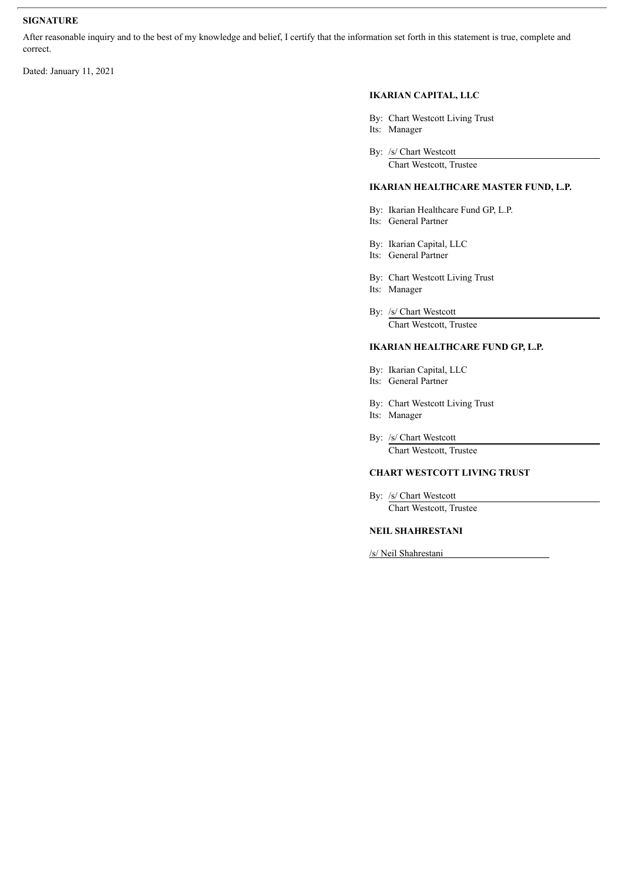#### **SIGNATURE**

After reasonable inquiry and to the best of my knowledge and belief, I certify that the information set forth in this statement is true, complete and correct.

Dated: January 11, 2021

#### **IKARIAN CAPITAL, LLC**

- By: Chart Westcott Living Trust
- Its: Manager
- By: /s/ Chart Westcott

Chart Westcott, Trustee

#### **IKARIAN HEALTHCARE MASTER FUND, L.P.**

- By: Ikarian Healthcare Fund GP, L.P.
- Its: General Partner
- By: Ikarian Capital, LLC
- Its: General Partner
- By: Chart Westcott Living Trust Its: Manager
- By: /s/ Chart Westcott Chart Westcott, Trustee

#### **IKARIAN HEALTHCARE FUND GP, L.P.**

- By: Ikarian Capital, LLC Its: General Partner
- By: Chart Westcott Living Trust
- Its: Manager
- By: /s/ Chart Westcott Chart Westcott, Trustee

#### **CHART WESTCOTT LIVING TRUST**

By: /s/ Chart Westcott Chart Westcott, Trustee

#### **NEIL SHAHRESTANI**

/s/ Neil Shahrestani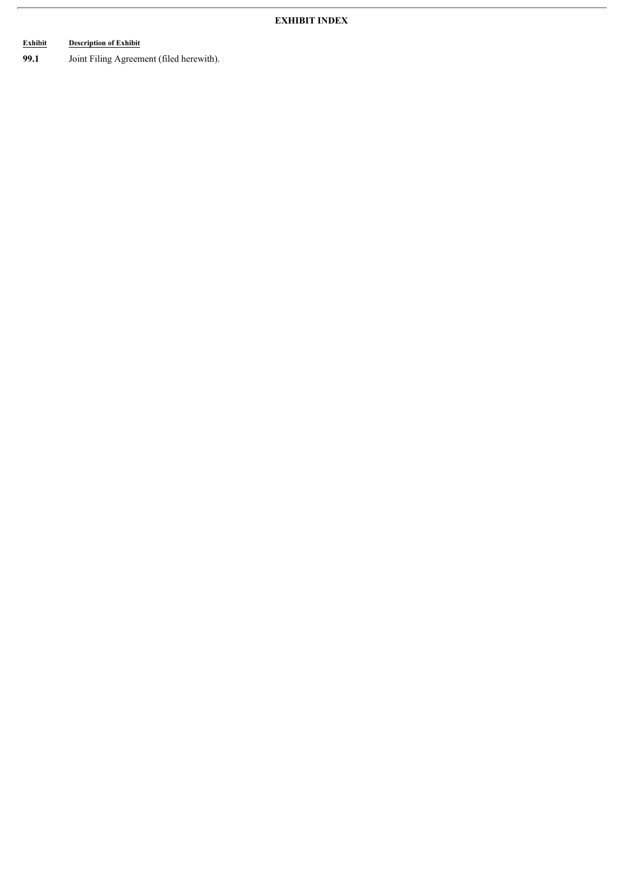# **Exhibit Description of Exhibit**

**99.1** Joint Filing Agreement (filed herewith).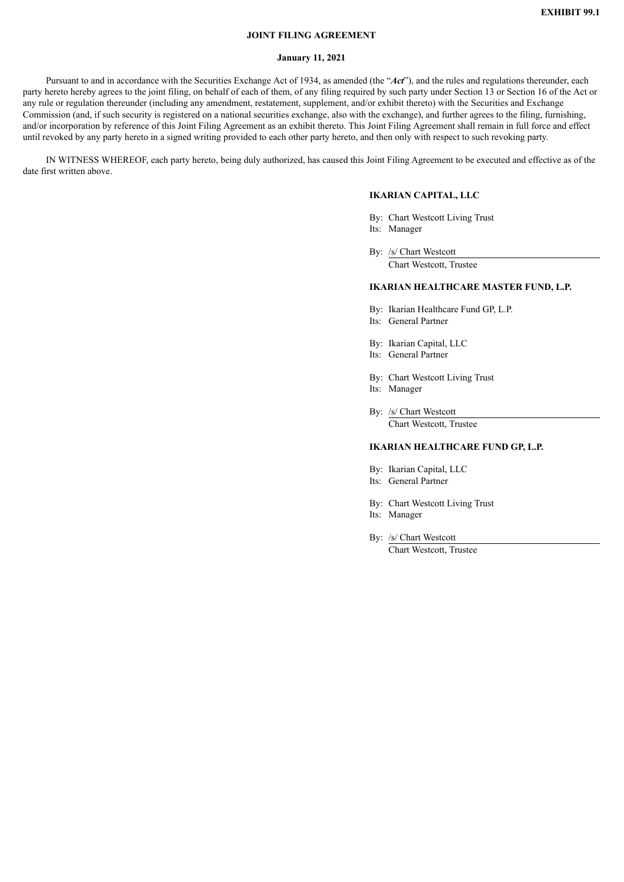#### **JOINT FILING AGREEMENT**

#### **January 11, 2021**

Pursuant to and in accordance with the Securities Exchange Act of 1934, as amended (the "*Act*"), and the rules and regulations thereunder, each party hereto hereby agrees to the joint filing, on behalf of each of them, of any filing required by such party under Section 13 or Section 16 of the Act or any rule or regulation thereunder (including any amendment, restatement, supplement, and/or exhibit thereto) with the Securities and Exchange Commission (and, if such security is registered on a national securities exchange, also with the exchange), and further agrees to the filing, furnishing, and/or incorporation by reference of this Joint Filing Agreement as an exhibit thereto. This Joint Filing Agreement shall remain in full force and effect until revoked by any party hereto in a signed writing provided to each other party hereto, and then only with respect to such revoking party.

IN WITNESS WHEREOF, each party hereto, being duly authorized, has caused this Joint Filing Agreement to be executed and effective as of the date first written above.

#### **IKARIAN CAPITAL, LLC**

By: Chart Westcott Living Trust Its: Manager

By: /s/ Chart Westcott

Chart Westcott, Trustee

#### **IKARIAN HEALTHCARE MASTER FUND, L.P.**

- By: Ikarian Healthcare Fund GP, L.P.
- Its: General Partner
- By: Ikarian Capital, LLC
- Its: General Partner
- By: Chart Westcott Living Trust
- Its: Manager
- By: /s/ Chart Westcott Chart Westcott, Trustee

#### **IKARIAN HEALTHCARE FUND GP, L.P.**

- By: Ikarian Capital, LLC
- Its: General Partner
- By: Chart Westcott Living Trust
- Its: Manager
- By: /s/ Chart Westcott

Chart Westcott, Trustee